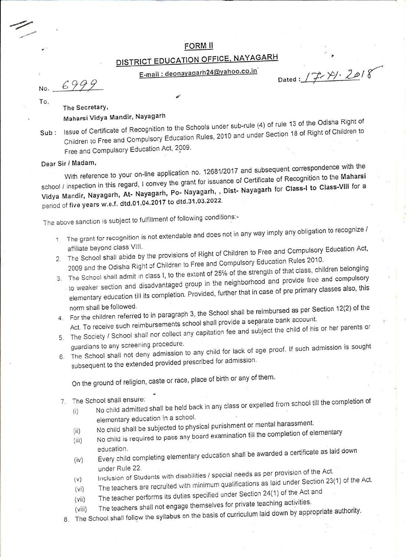## FORM II

## DISTRICT EDUCATION OFFICE, NAYAGARH

E-mail: deonayagarh24@yahoo.co.in

Dated:  $17/2018$ 

6999 No.

To.

## The Secretary, Maharsi Vidya Mandir, Nayagarh

Sub : Issue of Certificate of Recognition to the Schools under sub-rule (4) of rule 13 of the Odisha Right of Children to Free and Compulsory Education Rules, 2010 and under Section 18 of Right of Children to Free and Compulsory Education Act, 2009.

## Dear Sir / Madam,

With reference to your on-line application no. 12681/2017 and subsequent correspondence with the school / inspection in this regard, I convey the grant for issuance of Certificate of Recognition to the Maharsi Vidya Mandir, Nayagarh, At- Nayagarh, Po- Nayagarh, , Dist- Nayagarh for Class-I to Class-VIII for a period of five years w.e.f. dtd.01.04.2017 to dtd.31.03.2022.

The above sanction is subject to fulfillment of following conditions:-

- 1. The grant for recognition is not extendable and does not in any way imply any obligation to recognize / affiliate beyond class VIII.
- 2. The School shall abide by the provisions of Right of Children to Free and Compulsory Education Act, 2009 and the Odisha Right of Children to Free and Compulsory Education Rules 2010.
- 3. The School shall admit in class I, to the extent of 25% of the strength of that class, children belonging to weaker section and disadvantaged group in the neighborhood and provide free and compulsory elementary education till its completion. Provided, further that in case of pre primary classes also, this norm shall be followed.
- 4. For the children referred to in paragraph 3, the School shall be reimbursed as per Section 12(2) of the Act. To receive such reimbursements school shall provide a separate bank account.
- 5. The Society / School shall nor collect any capitation fee and subject the child of his or her parents or
- guardians to any screening procedure. 6. The School shall not deny admission to any child for lack of age proof. If such admission is sought subsequent to the extended provided prescribed for admission.

On the ground of religion, caste or race, place of birth or any of them.

- 7. The School shall ensure:
	- No child admitted shall be held back in any class or expelled from school till the completion of  $(i)$ elementary education in a school.
	- No child shall be subjected to physical punishment or mental harassment.  $(ii)$
	- No child is required to pass any board examination till the completion of elementary  $(iii)$ education.
	- Every child completing elementary education shall be awarded a certificate as laid down  $(iv)$ under Rule 22.
	- Inclusion of Students with disabilities / special needs as per provision of the Act.
	- The teachers are recruited with minimum qualifications as laid under Section 23(1) of the Act.  $(v)$
	- $(vi)$ The teacher performs its duties specified under Section 24(1) of the Act and
	- $(vii)$ The teachers shall not engage themselves for private teaching activities.
- 8. The School shall follow the syllabus on the basis of curriculum laid down by appropriate authority.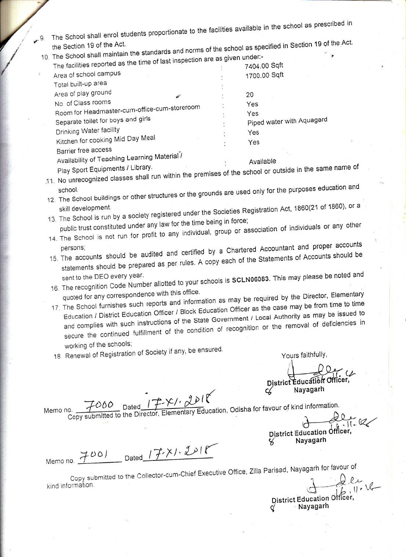The School shall enrol students proportionate to the facilities available in the school as prescribed in  $4.9.$ 

10. The School shall maintain the standards and norms of the school as specified in Section 19 of the Act. f last inspection are as given under:-

| The facilities reported as the time of last inspection are as                                                   |                      | 7404.00 Sqft              |
|-----------------------------------------------------------------------------------------------------------------|----------------------|---------------------------|
| Area of school campus                                                                                           |                      | 1700.00 Sqft              |
| Total built-up area                                                                                             |                      |                           |
| Area of play ground                                                                                             |                      | 20                        |
| No. of Class rooms                                                                                              | $\ddot{\phantom{a}}$ | Yes                       |
| Room for Headmaster-cum-office-cum-storeroom                                                                    | ţ.                   | Yes                       |
| Separate toilet for boys and girls                                                                              | ŧ.                   | Piped water with Aquagard |
| Drinking Water facility                                                                                         |                      | Yes                       |
| Kitchen for cooking Mid Day Meal                                                                                | ÷                    | Yes                       |
| Barrier free access                                                                                             |                      |                           |
| Availability of Teaching Learning Material /                                                                    |                      | Available                 |
| the contract of the contract of the contract of the contract of the contract of the contract of the contract of |                      |                           |

- 11. No unrecognized classes shall run within the premises of the school or outside in the same name of
- 12. The School buildings or other structures or the grounds are used only for the purposes education and
- 13. The School is run by a society registered under the Societies Registration Act, 1860(21 of 1860), or a public trust constituted under any law for the time being in force;
- 14. The School is not run for profit to any individual, group or association of individuals or any other
- 15. The accounts should be audited and certified by a Chartered Accountant and proper accounts statements should be prepared as per rules. A copy each of the Statements of Accounts should be
- 16. The recognition Code Number allotted to your schools is SCLN06083. This may please be noted and quoted for any correspondence with this office.
- 17. The School furnishes such reports and information as may be required by the Director, Elementary Education / District Education Officer / Block Education Officer as the case may be from time to time and complies with such instructions of the State Government / Local Authority as may be issued to secure the continued fulfillment of the condition of recognition or the removal of deficiencies in working of the schools;

18. Renewal of Registration of Society if any, be ensured.

Yours faithfully.

District Education Officer

COLO Dated IT Y OU Education, Odisha for favour of kind information.<br>Copy submitted to the Director, Elementary Education, Odisha for favour of kind information. Memo no.

District Education Officer. Nayagarh

Memo no. 7001 Dated 17. X1. 2018

Copy submitted to the Collector-cum-Chief Executive Office, Zilla Parisad, Nayagarh for favour of kind information.

District Education Officer.